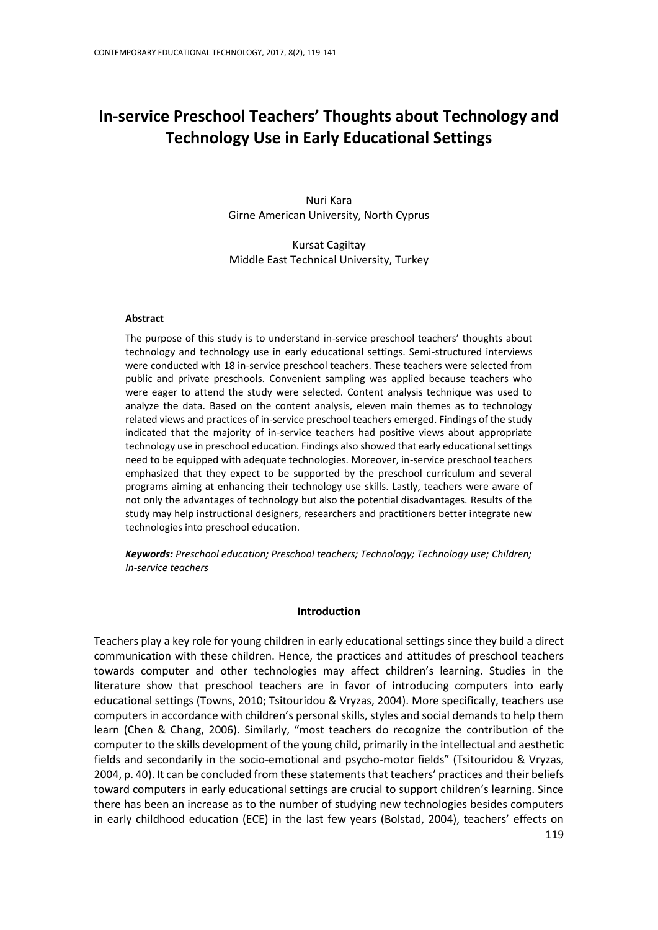# **In-service Preschool Teachers' Thoughts about Technology and Technology Use in Early Educational Settings**

Nuri Kara Girne American University, North Cyprus

Kursat Cagiltay Middle East Technical University, Turkey

#### **Abstract**

The purpose of this study is to understand in-service preschool teachers' thoughts about technology and technology use in early educational settings. Semi-structured interviews were conducted with 18 in-service preschool teachers. These teachers were selected from public and private preschools. Convenient sampling was applied because teachers who were eager to attend the study were selected. Content analysis technique was used to analyze the data. Based on the content analysis, eleven main themes as to technology related views and practices of in-service preschool teachers emerged. Findings of the study indicated that the majority of in-service teachers had positive views about appropriate technology use in preschool education. Findings also showed that early educational settings need to be equipped with adequate technologies. Moreover, in-service preschool teachers emphasized that they expect to be supported by the preschool curriculum and several programs aiming at enhancing their technology use skills. Lastly, teachers were aware of not only the advantages of technology but also the potential disadvantages. Results of the study may help instructional designers, researchers and practitioners better integrate new technologies into preschool education.

*Keywords: Preschool education; Preschool teachers; Technology; Technology use; Children; In-service teachers*

#### **Introduction**

Teachers play a key role for young children in early educational settings since they build a direct communication with these children. Hence, the practices and attitudes of preschool teachers towards computer and other technologies may affect children's learning. Studies in the literature show that preschool teachers are in favor of introducing computers into early educational settings (Towns, 2010; Tsitouridou & Vryzas, 2004). More specifically, teachers use computers in accordance with children's personal skills, styles and social demands to help them learn (Chen & Chang, 2006). Similarly, "most teachers do recognize the contribution of the computer to the skills development of the young child, primarily in the intellectual and aesthetic fields and secondarily in the socio-emotional and psycho-motor fields" (Tsitouridou & Vryzas, 2004, p. 40). It can be concluded from these statements that teachers' practices and their beliefs toward computers in early educational settings are crucial to support children's learning. Since there has been an increase as to the number of studying new technologies besides computers in early childhood education (ECE) in the last few years (Bolstad, 2004), teachers' effects on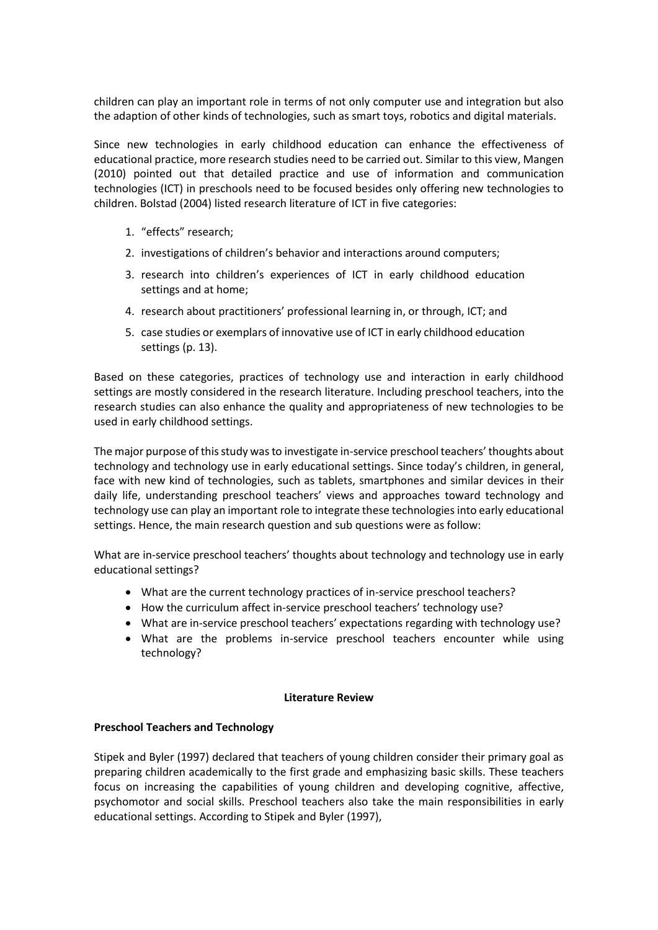children can play an important role in terms of not only computer use and integration but also the adaption of other kinds of technologies, such as smart toys, robotics and digital materials.

Since new technologies in early childhood education can enhance the effectiveness of educational practice, more research studies need to be carried out. Similar to this view, Mangen (2010) pointed out that detailed practice and use of information and communication technologies (ICT) in preschools need to be focused besides only offering new technologies to children. Bolstad (2004) listed research literature of ICT in five categories:

- 1. "effects" research;
- 2. investigations of children's behavior and interactions around computers;
- 3. research into children's experiences of ICT in early childhood education settings and at home;
- 4. research about practitioners' professional learning in, or through, ICT; and
- 5. case studies or exemplars of innovative use of ICT in early childhood education settings (p. 13).

Based on these categories, practices of technology use and interaction in early childhood settings are mostly considered in the research literature. Including preschool teachers, into the research studies can also enhance the quality and appropriateness of new technologies to be used in early childhood settings.

The major purpose of this study was to investigate in-service preschool teachers' thoughts about technology and technology use in early educational settings. Since today's children, in general, face with new kind of technologies, such as tablets, smartphones and similar devices in their daily life, understanding preschool teachers' views and approaches toward technology and technology use can play an important role to integrate these technologies into early educational settings. Hence, the main research question and sub questions were as follow:

What are in-service preschool teachers' thoughts about technology and technology use in early educational settings?

- What are the current technology practices of in-service preschool teachers?
- How the curriculum affect in-service preschool teachers' technology use?
- What are in-service preschool teachers' expectations regarding with technology use?
- What are the problems in-service preschool teachers encounter while using technology?

## **Literature Review**

## **Preschool Teachers and Technology**

Stipek and Byler (1997) declared that teachers of young children consider their primary goal as preparing children academically to the first grade and emphasizing basic skills. These teachers focus on increasing the capabilities of young children and developing cognitive, affective, psychomotor and social skills. Preschool teachers also take the main responsibilities in early educational settings. According to Stipek and Byler (1997),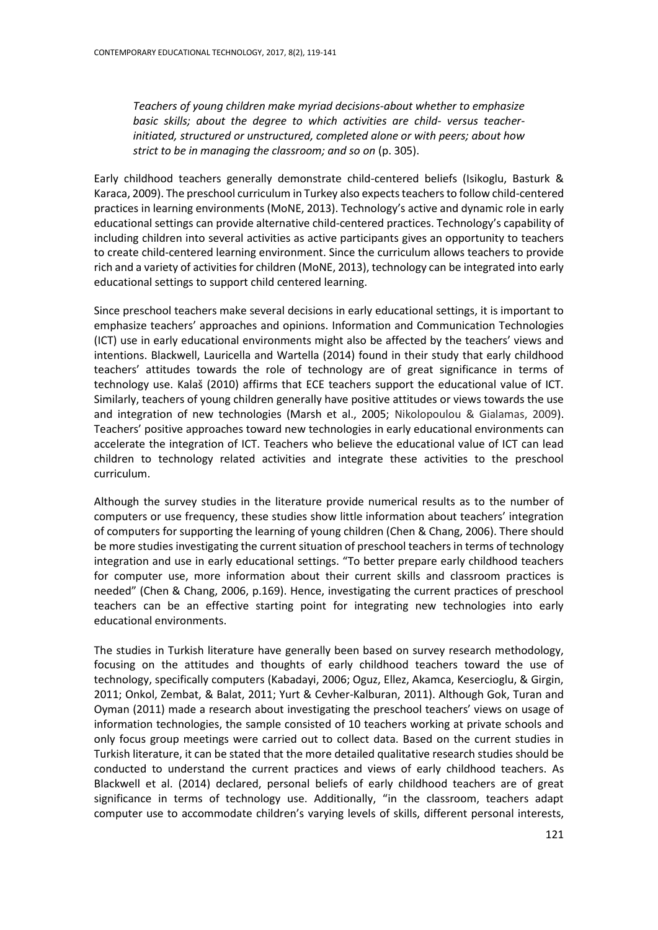*Teachers of young children make myriad decisions-about whether to emphasize basic skills; about the degree to which activities are child- versus teacherinitiated, structured or unstructured, completed alone or with peers; about how strict to be in managing the classroom; and so on* (p. 305).

Early childhood teachers generally demonstrate child-centered beliefs (Isikoglu, Basturk & Karaca, 2009). The preschool curriculum in Turkey also expects teachers to follow child-centered practices in learning environments (MoNE, 2013). Technology's active and dynamic role in early educational settings can provide alternative child-centered practices. Technology's capability of including children into several activities as active participants gives an opportunity to teachers to create child-centered learning environment. Since the curriculum allows teachers to provide rich and a variety of activities for children (MoNE, 2013), technology can be integrated into early educational settings to support child centered learning.

Since preschool teachers make several decisions in early educational settings, it is important to emphasize teachers' approaches and opinions. Information and Communication Technologies (ICT) use in early educational environments might also be affected by the teachers' views and intentions. Blackwell, Lauricella and Wartella (2014) found in their study that early childhood teachers' attitudes towards the role of technology are of great significance in terms of technology use. Kalaš (2010) affirms that ECE teachers support the educational value of ICT. Similarly, teachers of young children generally have positive attitudes or views towards the use and integration of new technologies (Marsh et al., 2005; Nikolopoulou & Gialamas, 2009). Teachers' positive approaches toward new technologies in early educational environments can accelerate the integration of ICT. Teachers who believe the educational value of ICT can lead children to technology related activities and integrate these activities to the preschool curriculum.

Although the survey studies in the literature provide numerical results as to the number of computers or use frequency, these studies show little information about teachers' integration of computers for supporting the learning of young children (Chen & Chang, 2006). There should be more studies investigating the current situation of preschool teachers in terms of technology integration and use in early educational settings. "To better prepare early childhood teachers for computer use, more information about their current skills and classroom practices is needed" (Chen & Chang, 2006, p.169). Hence, investigating the current practices of preschool teachers can be an effective starting point for integrating new technologies into early educational environments.

The studies in Turkish literature have generally been based on survey research methodology, focusing on the attitudes and thoughts of early childhood teachers toward the use of technology, specifically computers (Kabadayi, 2006; Oguz, Ellez, Akamca, Kesercioglu, & Girgin, 2011; Onkol, Zembat, & Balat, 2011; Yurt & Cevher-Kalburan, 2011). Although Gok, Turan and Oyman (2011) made a research about investigating the preschool teachers' views on usage of information technologies, the sample consisted of 10 teachers working at private schools and only focus group meetings were carried out to collect data. Based on the current studies in Turkish literature, it can be stated that the more detailed qualitative research studies should be conducted to understand the current practices and views of early childhood teachers. As Blackwell et al. (2014) declared, personal beliefs of early childhood teachers are of great significance in terms of technology use. Additionally, "in the classroom, teachers adapt computer use to accommodate children's varying levels of skills, different personal interests,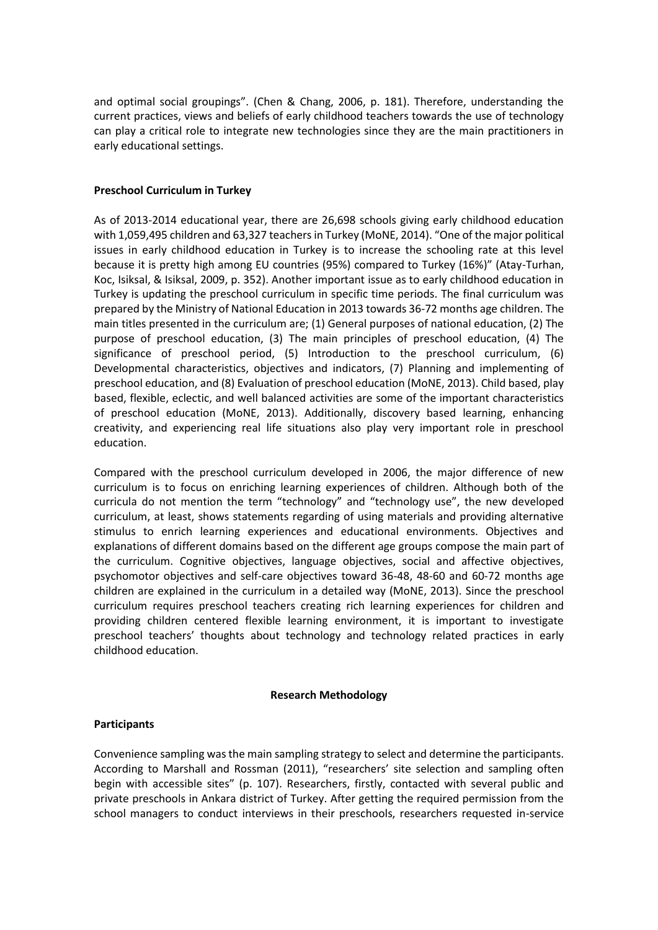and optimal social groupings". (Chen & Chang, 2006, p. 181). Therefore, understanding the current practices, views and beliefs of early childhood teachers towards the use of technology can play a critical role to integrate new technologies since they are the main practitioners in early educational settings.

## **Preschool Curriculum in Turkey**

As of 2013-2014 educational year, there are 26,698 schools giving early childhood education with 1,059,495 children and 63,327 teachers in Turkey (MoNE, 2014). "One of the major political issues in early childhood education in Turkey is to increase the schooling rate at this level because it is pretty high among EU countries (95%) compared to Turkey (16%)" (Atay-Turhan, Koc, Isiksal, & Isiksal, 2009, p. 352). Another important issue as to early childhood education in Turkey is updating the preschool curriculum in specific time periods. The final curriculum was prepared by the Ministry of National Education in 2013 towards 36-72 months age children. The main titles presented in the curriculum are; (1) General purposes of national education, (2) The purpose of preschool education, (3) The main principles of preschool education, (4) The significance of preschool period, (5) Introduction to the preschool curriculum, (6) Developmental characteristics, objectives and indicators, (7) Planning and implementing of preschool education, and (8) Evaluation of preschool education (MoNE, 2013). Child based, play based, flexible, eclectic, and well balanced activities are some of the important characteristics of preschool education (MoNE, 2013). Additionally, discovery based learning, enhancing creativity, and experiencing real life situations also play very important role in preschool education.

Compared with the preschool curriculum developed in 2006, the major difference of new curriculum is to focus on enriching learning experiences of children. Although both of the curricula do not mention the term "technology" and "technology use", the new developed curriculum, at least, shows statements regarding of using materials and providing alternative stimulus to enrich learning experiences and educational environments. Objectives and explanations of different domains based on the different age groups compose the main part of the curriculum. Cognitive objectives, language objectives, social and affective objectives, psychomotor objectives and self-care objectives toward 36-48, 48-60 and 60-72 months age children are explained in the curriculum in a detailed way (MoNE, 2013). Since the preschool curriculum requires preschool teachers creating rich learning experiences for children and providing children centered flexible learning environment, it is important to investigate preschool teachers' thoughts about technology and technology related practices in early childhood education.

## **Research Methodology**

## **Participants**

Convenience sampling was the main sampling strategy to select and determine the participants. According to Marshall and Rossman (2011), "researchers' site selection and sampling often begin with accessible sites" (p. 107). Researchers, firstly, contacted with several public and private preschools in Ankara district of Turkey. After getting the required permission from the school managers to conduct interviews in their preschools, researchers requested in-service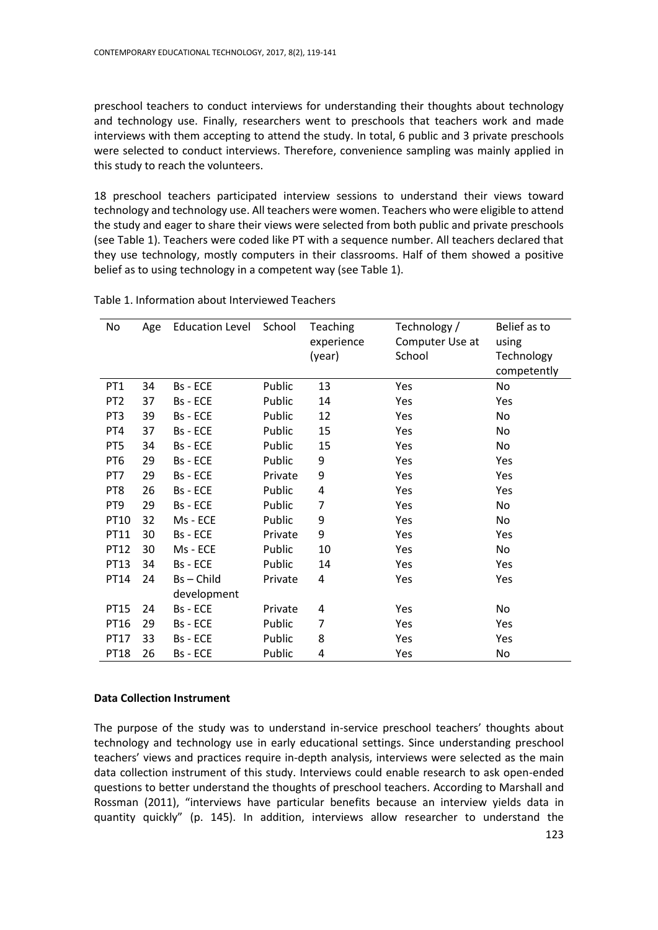preschool teachers to conduct interviews for understanding their thoughts about technology and technology use. Finally, researchers went to preschools that teachers work and made interviews with them accepting to attend the study. In total, 6 public and 3 private preschools were selected to conduct interviews. Therefore, convenience sampling was mainly applied in this study to reach the volunteers.

18 preschool teachers participated interview sessions to understand their views toward technology and technology use. All teachers were women. Teachers who were eligible to attend the study and eager to share their views were selected from both public and private preschools (see Table 1). Teachers were coded like PT with a sequence number. All teachers declared that they use technology, mostly computers in their classrooms. Half of them showed a positive belief as to using technology in a competent way (see Table 1).

| No              | Age | <b>Education Level</b> | School  | <b>Teaching</b> | Technology /    | Belief as to |
|-----------------|-----|------------------------|---------|-----------------|-----------------|--------------|
|                 |     |                        |         | experience      | Computer Use at | using        |
|                 |     |                        |         | (year)          | School          | Technology   |
|                 |     |                        |         |                 |                 | competently  |
| PT <sub>1</sub> | 34  | Bs - ECE               | Public  | 13              | Yes             | No           |
| PT <sub>2</sub> | 37  | Bs - ECE               | Public  | 14              | Yes             | Yes          |
| PT <sub>3</sub> | 39  | Bs - ECE               | Public  | 12              | Yes             | No           |
| PT4             | 37  | Bs - ECE               | Public  | 15              | Yes             | No           |
| PT5             | 34  | Bs - ECE               | Public  | 15              | Yes             | No           |
| PT <sub>6</sub> | 29  | Bs - ECE               | Public  | 9               | Yes             | Yes          |
| PT7             | 29  | Bs - ECE               | Private | 9               | Yes             | Yes          |
| PT8             | 26  | Bs - ECE               | Public  | 4               | Yes             | Yes          |
| PT9             | 29  | Bs - ECE               | Public  | 7               | Yes             | No           |
| PT10            | 32  | Ms - ECE               | Public  | 9               | Yes             | No           |
| PT11            | 30  | Bs - ECE               | Private | 9               | Yes             | Yes          |
| PT12            | 30  | Ms - ECE               | Public  | 10              | Yes             | No           |
| PT13            | 34  | Bs - ECE               | Public  | 14              | Yes             | Yes          |
| PT14            | 24  | Bs-Child               | Private | 4               | Yes             | Yes          |
|                 |     | development            |         |                 |                 |              |
| PT15            | 24  | Bs - ECE               | Private | 4               | Yes             | No           |
| PT16            | 29  | Bs - ECE               | Public  | 7               | Yes             | Yes          |
| PT17            | 33  | Bs - ECE               | Public  | 8               | Yes             | Yes          |
| PT18            | 26  | Bs - ECE               | Public  | 4               | Yes             | No           |

## Table 1. Information about Interviewed Teachers

## **Data Collection Instrument**

The purpose of the study was to understand in-service preschool teachers' thoughts about technology and technology use in early educational settings. Since understanding preschool teachers' views and practices require in-depth analysis, interviews were selected as the main data collection instrument of this study. Interviews could enable research to ask open-ended questions to better understand the thoughts of preschool teachers. According to Marshall and Rossman (2011), "interviews have particular benefits because an interview yields data in quantity quickly" (p. 145). In addition, interviews allow researcher to understand the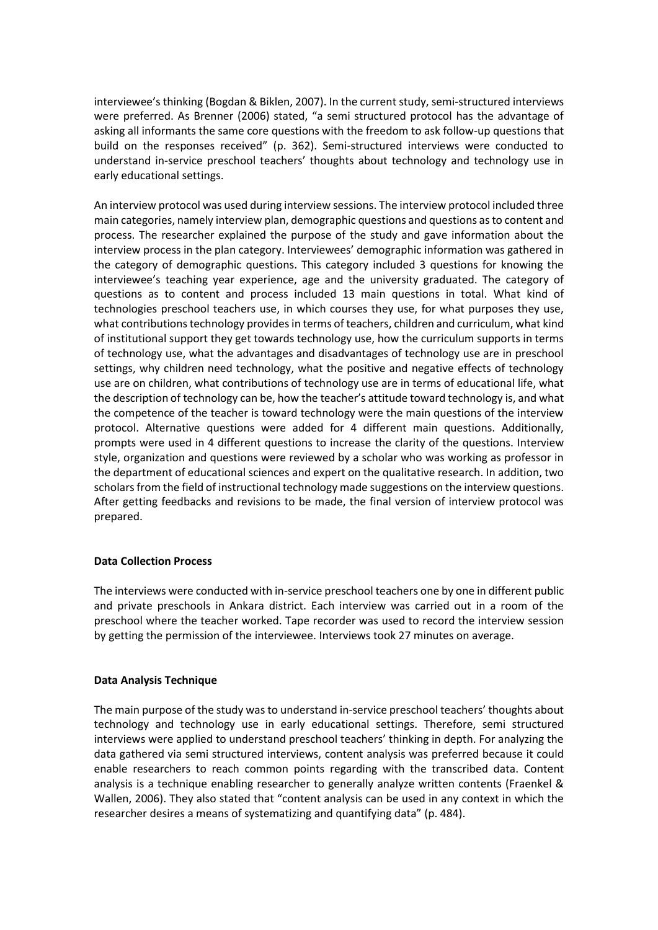interviewee's thinking (Bogdan & Biklen, 2007). In the current study, semi-structured interviews were preferred. As Brenner (2006) stated, "a semi structured protocol has the advantage of asking all informants the same core questions with the freedom to ask follow-up questions that build on the responses received" (p. 362). Semi-structured interviews were conducted to understand in-service preschool teachers' thoughts about technology and technology use in early educational settings.

An interview protocol was used during interview sessions. The interview protocol included three main categories, namely interview plan, demographic questions and questions as to content and process. The researcher explained the purpose of the study and gave information about the interview process in the plan category. Interviewees' demographic information was gathered in the category of demographic questions. This category included 3 questions for knowing the interviewee's teaching year experience, age and the university graduated. The category of questions as to content and process included 13 main questions in total. What kind of technologies preschool teachers use, in which courses they use, for what purposes they use, what contributions technology provides in terms of teachers, children and curriculum, what kind of institutional support they get towards technology use, how the curriculum supports in terms of technology use, what the advantages and disadvantages of technology use are in preschool settings, why children need technology, what the positive and negative effects of technology use are on children, what contributions of technology use are in terms of educational life, what the description of technology can be, how the teacher's attitude toward technology is, and what the competence of the teacher is toward technology were the main questions of the interview protocol. Alternative questions were added for 4 different main questions. Additionally, prompts were used in 4 different questions to increase the clarity of the questions. Interview style, organization and questions were reviewed by a scholar who was working as professor in the department of educational sciences and expert on the qualitative research. In addition, two scholars from the field of instructional technology made suggestions on the interview questions. After getting feedbacks and revisions to be made, the final version of interview protocol was prepared.

## **Data Collection Process**

The interviews were conducted with in-service preschool teachers one by one in different public and private preschools in Ankara district. Each interview was carried out in a room of the preschool where the teacher worked. Tape recorder was used to record the interview session by getting the permission of the interviewee. Interviews took 27 minutes on average.

# **Data Analysis Technique**

The main purpose of the study was to understand in-service preschool teachers' thoughts about technology and technology use in early educational settings. Therefore, semi structured interviews were applied to understand preschool teachers' thinking in depth. For analyzing the data gathered via semi structured interviews, content analysis was preferred because it could enable researchers to reach common points regarding with the transcribed data. Content analysis is a technique enabling researcher to generally analyze written contents (Fraenkel & Wallen, 2006). They also stated that "content analysis can be used in any context in which the researcher desires a means of systematizing and quantifying data" (p. 484).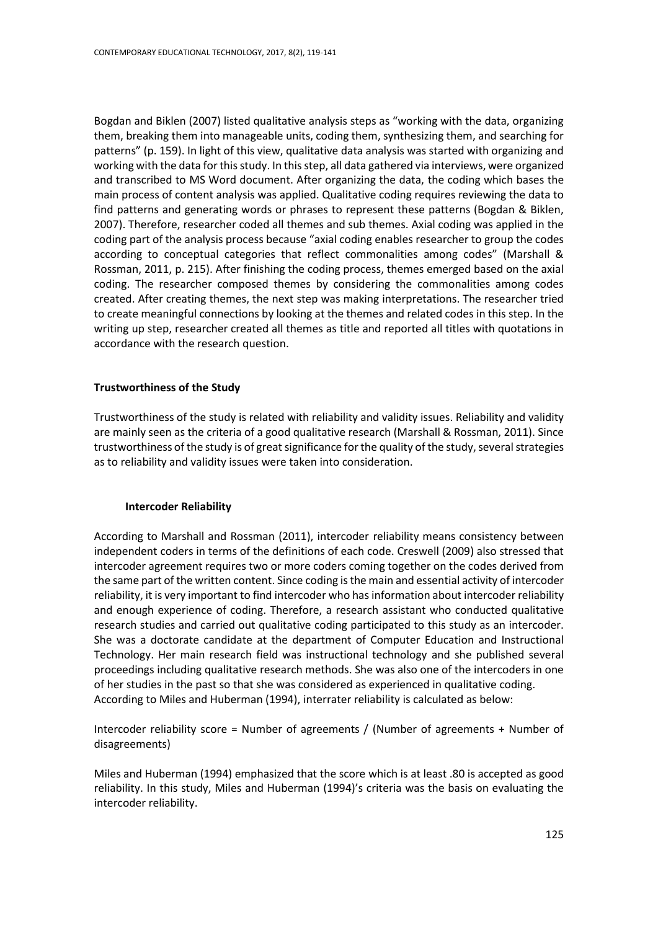Bogdan and Biklen (2007) listed qualitative analysis steps as "working with the data, organizing them, breaking them into manageable units, coding them, synthesizing them, and searching for patterns" (p. 159). In light of this view, qualitative data analysis was started with organizing and working with the data for this study. In this step, all data gathered via interviews, were organized and transcribed to MS Word document. After organizing the data, the coding which bases the main process of content analysis was applied. Qualitative coding requires reviewing the data to find patterns and generating words or phrases to represent these patterns (Bogdan & Biklen, 2007). Therefore, researcher coded all themes and sub themes. Axial coding was applied in the coding part of the analysis process because "axial coding enables researcher to group the codes according to conceptual categories that reflect commonalities among codes" (Marshall & Rossman, 2011, p. 215). After finishing the coding process, themes emerged based on the axial coding. The researcher composed themes by considering the commonalities among codes created. After creating themes, the next step was making interpretations. The researcher tried to create meaningful connections by looking at the themes and related codes in this step. In the writing up step, researcher created all themes as title and reported all titles with quotations in accordance with the research question.

#### **Trustworthiness of the Study**

Trustworthiness of the study is related with reliability and validity issues. Reliability and validity are mainly seen as the criteria of a good qualitative research (Marshall & Rossman, 2011). Since trustworthiness of the study is of great significance for the quality of the study, several strategies as to reliability and validity issues were taken into consideration.

#### **Intercoder Reliability**

According to Marshall and Rossman (2011), intercoder reliability means consistency between independent coders in terms of the definitions of each code. Creswell (2009) also stressed that intercoder agreement requires two or more coders coming together on the codes derived from the same part of the written content. Since coding is the main and essential activity of intercoder reliability, it is very important to find intercoder who has information about intercoder reliability and enough experience of coding. Therefore, a research assistant who conducted qualitative research studies and carried out qualitative coding participated to this study as an intercoder. She was a doctorate candidate at the department of Computer Education and Instructional Technology. Her main research field was instructional technology and she published several proceedings including qualitative research methods. She was also one of the intercoders in one of her studies in the past so that she was considered as experienced in qualitative coding. According to Miles and Huberman (1994), interrater reliability is calculated as below:

Intercoder reliability score = Number of agreements / (Number of agreements + Number of disagreements)

Miles and Huberman (1994) emphasized that the score which is at least .80 is accepted as good reliability. In this study, Miles and Huberman (1994)'s criteria was the basis on evaluating the intercoder reliability.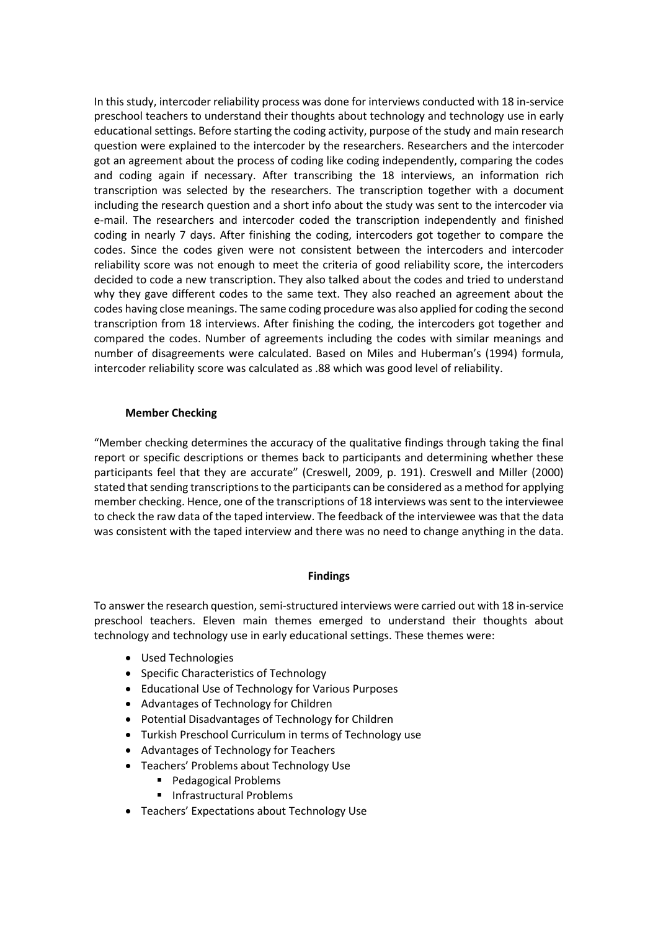In this study, intercoder reliability process was done for interviews conducted with 18 in-service preschool teachers to understand their thoughts about technology and technology use in early educational settings. Before starting the coding activity, purpose of the study and main research question were explained to the intercoder by the researchers. Researchers and the intercoder got an agreement about the process of coding like coding independently, comparing the codes and coding again if necessary. After transcribing the 18 interviews, an information rich transcription was selected by the researchers. The transcription together with a document including the research question and a short info about the study was sent to the intercoder via e-mail. The researchers and intercoder coded the transcription independently and finished coding in nearly 7 days. After finishing the coding, intercoders got together to compare the codes. Since the codes given were not consistent between the intercoders and intercoder reliability score was not enough to meet the criteria of good reliability score, the intercoders decided to code a new transcription. They also talked about the codes and tried to understand why they gave different codes to the same text. They also reached an agreement about the codes having close meanings. The same coding procedure was also applied for coding the second transcription from 18 interviews. After finishing the coding, the intercoders got together and compared the codes. Number of agreements including the codes with similar meanings and number of disagreements were calculated. Based on Miles and Huberman's (1994) formula, intercoder reliability score was calculated as .88 which was good level of reliability.

## **Member Checking**

"Member checking determines the accuracy of the qualitative findings through taking the final report or specific descriptions or themes back to participants and determining whether these participants feel that they are accurate" (Creswell, 2009, p. 191). Creswell and Miller (2000) stated that sending transcriptions to the participants can be considered as a method for applying member checking. Hence, one of the transcriptions of 18 interviews was sent to the interviewee to check the raw data of the taped interview. The feedback of the interviewee was that the data was consistent with the taped interview and there was no need to change anything in the data.

## **Findings**

To answer the research question, semi-structured interviews were carried out with 18 in-service preschool teachers. Eleven main themes emerged to understand their thoughts about technology and technology use in early educational settings. These themes were:

- Used Technologies
- Specific Characteristics of Technology
- Educational Use of Technology for Various Purposes
- Advantages of Technology for Children
- Potential Disadvantages of Technology for Children
- Turkish Preschool Curriculum in terms of Technology use
- Advantages of Technology for Teachers
- Teachers' Problems about Technology Use
	- **Pedagogical Problems**
	- **Infrastructural Problems**
- Teachers' Expectations about Technology Use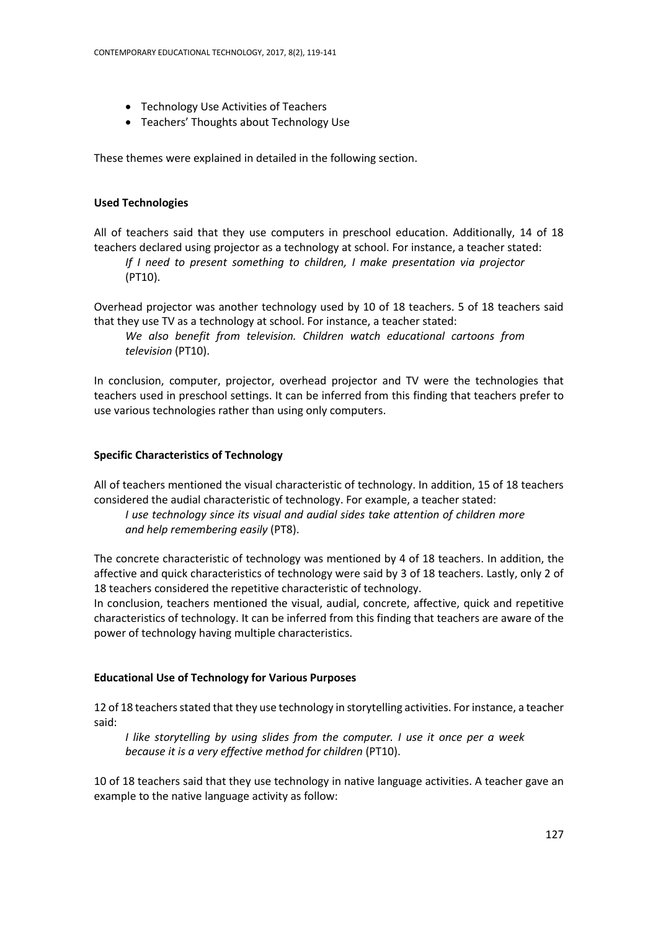- Technology Use Activities of Teachers
- Teachers' Thoughts about Technology Use

These themes were explained in detailed in the following section.

## **Used Technologies**

All of teachers said that they use computers in preschool education. Additionally, 14 of 18 teachers declared using projector as a technology at school. For instance, a teacher stated:

*If I need to present something to children, I make presentation via projector*  (PT10).

Overhead projector was another technology used by 10 of 18 teachers. 5 of 18 teachers said that they use TV as a technology at school. For instance, a teacher stated:

*We also benefit from television. Children watch educational cartoons from television* (PT10).

In conclusion, computer, projector, overhead projector and TV were the technologies that teachers used in preschool settings. It can be inferred from this finding that teachers prefer to use various technologies rather than using only computers.

## **Specific Characteristics of Technology**

All of teachers mentioned the visual characteristic of technology. In addition, 15 of 18 teachers considered the audial characteristic of technology. For example, a teacher stated:

*I use technology since its visual and audial sides take attention of children more and help remembering easily* (PT8).

The concrete characteristic of technology was mentioned by 4 of 18 teachers. In addition, the affective and quick characteristics of technology were said by 3 of 18 teachers. Lastly, only 2 of 18 teachers considered the repetitive characteristic of technology.

In conclusion, teachers mentioned the visual, audial, concrete, affective, quick and repetitive characteristics of technology. It can be inferred from this finding that teachers are aware of the power of technology having multiple characteristics.

## **Educational Use of Technology for Various Purposes**

12 of 18 teachers stated that they use technology in storytelling activities. For instance, a teacher said:

*I like storytelling by using slides from the computer. I use it once per a week because it is a very effective method for children* (PT10).

10 of 18 teachers said that they use technology in native language activities. A teacher gave an example to the native language activity as follow: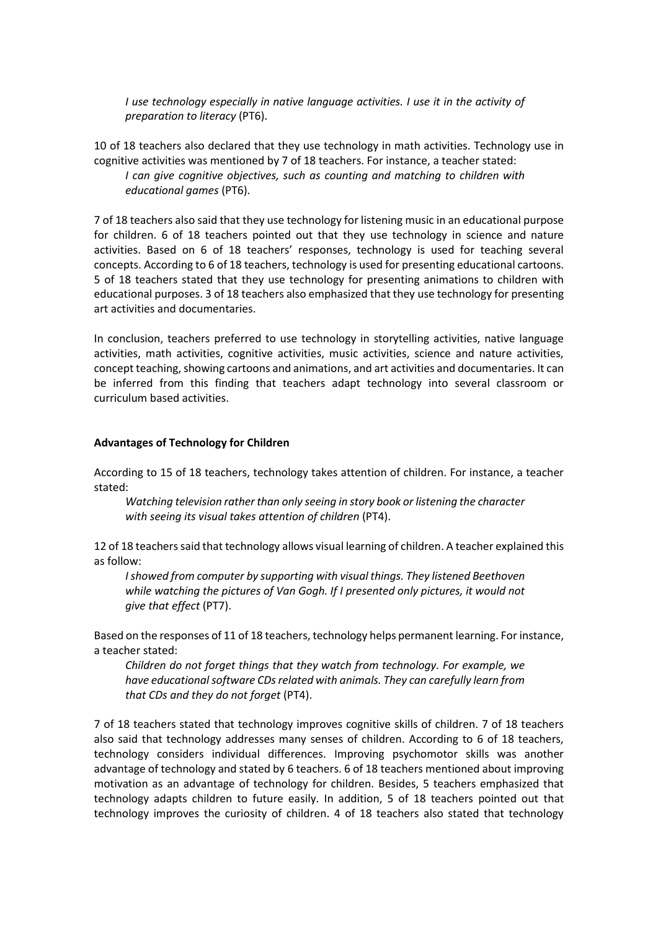*I use technology especially in native language activities. I use it in the activity of preparation to literacy* (PT6).

10 of 18 teachers also declared that they use technology in math activities. Technology use in cognitive activities was mentioned by 7 of 18 teachers. For instance, a teacher stated:

*I* can give cognitive objectives, such as counting and matching to children with *educational games* (PT6).

7 of 18 teachers also said that they use technology for listening music in an educational purpose for children. 6 of 18 teachers pointed out that they use technology in science and nature activities. Based on 6 of 18 teachers' responses, technology is used for teaching several concepts. According to 6 of 18 teachers, technology is used for presenting educational cartoons. 5 of 18 teachers stated that they use technology for presenting animations to children with educational purposes. 3 of 18 teachers also emphasized that they use technology for presenting art activities and documentaries.

In conclusion, teachers preferred to use technology in storytelling activities, native language activities, math activities, cognitive activities, music activities, science and nature activities, concept teaching, showing cartoons and animations, and art activities and documentaries. It can be inferred from this finding that teachers adapt technology into several classroom or curriculum based activities.

#### **Advantages of Technology for Children**

According to 15 of 18 teachers, technology takes attention of children. For instance, a teacher stated:

*Watching television rather than only seeing in story book or listening the character with seeing its visual takes attention of children* (PT4).

12 of 18 teachers said that technology allows visual learning of children. A teacher explained this as follow:

*I showed from computer by supporting with visual things. They listened Beethoven while watching the pictures of Van Gogh. If I presented only pictures, it would not give that effect* (PT7).

Based on the responses of 11 of 18 teachers, technology helps permanent learning. For instance, a teacher stated:

*Children do not forget things that they watch from technology. For example, we have educational software CDs related with animals. They can carefully learn from that CDs and they do not forget* (PT4).

7 of 18 teachers stated that technology improves cognitive skills of children. 7 of 18 teachers also said that technology addresses many senses of children. According to 6 of 18 teachers, technology considers individual differences. Improving psychomotor skills was another advantage of technology and stated by 6 teachers. 6 of 18 teachers mentioned about improving motivation as an advantage of technology for children. Besides, 5 teachers emphasized that technology adapts children to future easily. In addition, 5 of 18 teachers pointed out that technology improves the curiosity of children. 4 of 18 teachers also stated that technology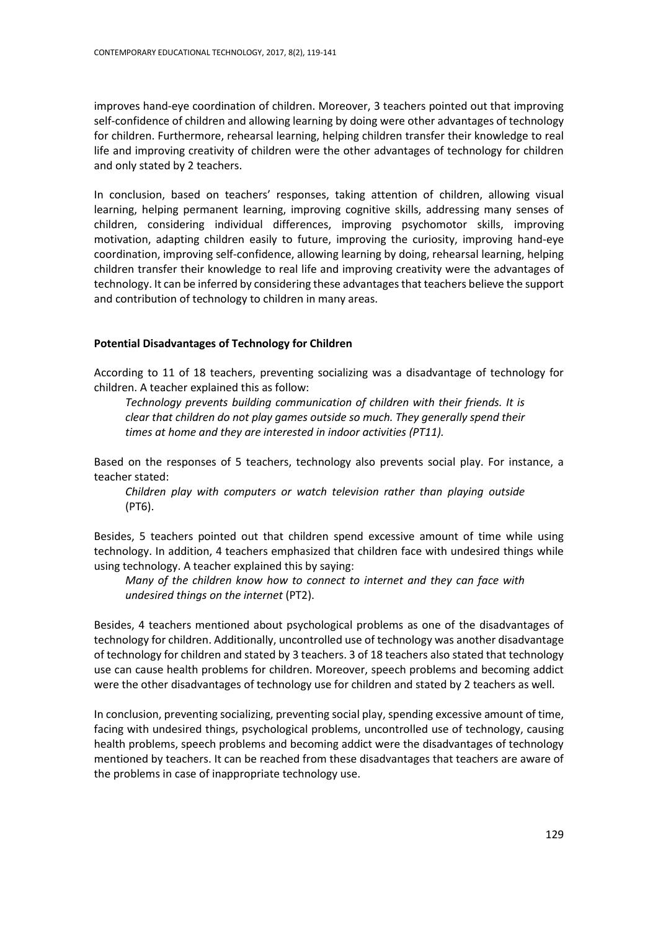improves hand-eye coordination of children. Moreover, 3 teachers pointed out that improving self-confidence of children and allowing learning by doing were other advantages of technology for children. Furthermore, rehearsal learning, helping children transfer their knowledge to real life and improving creativity of children were the other advantages of technology for children and only stated by 2 teachers.

In conclusion, based on teachers' responses, taking attention of children, allowing visual learning, helping permanent learning, improving cognitive skills, addressing many senses of children, considering individual differences, improving psychomotor skills, improving motivation, adapting children easily to future, improving the curiosity, improving hand-eye coordination, improving self-confidence, allowing learning by doing, rehearsal learning, helping children transfer their knowledge to real life and improving creativity were the advantages of technology. It can be inferred by considering these advantages that teachers believe the support and contribution of technology to children in many areas.

#### **Potential Disadvantages of Technology for Children**

According to 11 of 18 teachers, preventing socializing was a disadvantage of technology for children. A teacher explained this as follow:

*Technology prevents building communication of children with their friends. It is clear that children do not play games outside so much. They generally spend their times at home and they are interested in indoor activities (PT11).*

Based on the responses of 5 teachers, technology also prevents social play. For instance, a teacher stated:

*Children play with computers or watch television rather than playing outside*  (PT6).

Besides, 5 teachers pointed out that children spend excessive amount of time while using technology. In addition, 4 teachers emphasized that children face with undesired things while using technology. A teacher explained this by saying:

*Many of the children know how to connect to internet and they can face with undesired things on the internet* (PT2).

Besides, 4 teachers mentioned about psychological problems as one of the disadvantages of technology for children. Additionally, uncontrolled use of technology was another disadvantage of technology for children and stated by 3 teachers. 3 of 18 teachers also stated that technology use can cause health problems for children. Moreover, speech problems and becoming addict were the other disadvantages of technology use for children and stated by 2 teachers as well.

In conclusion, preventing socializing, preventing social play, spending excessive amount of time, facing with undesired things, psychological problems, uncontrolled use of technology, causing health problems, speech problems and becoming addict were the disadvantages of technology mentioned by teachers. It can be reached from these disadvantages that teachers are aware of the problems in case of inappropriate technology use.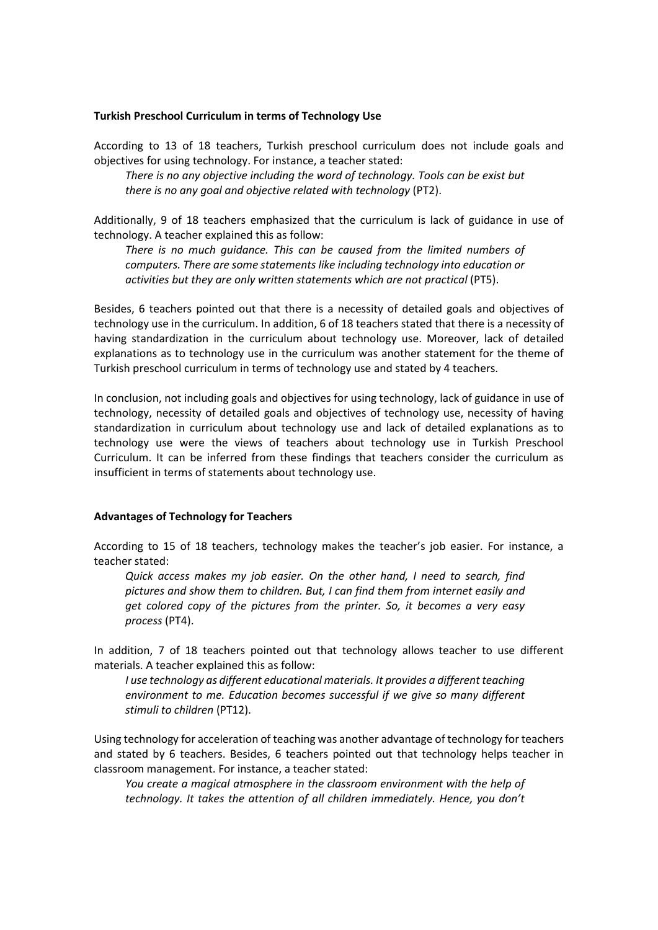#### **Turkish Preschool Curriculum in terms of Technology Use**

According to 13 of 18 teachers, Turkish preschool curriculum does not include goals and objectives for using technology. For instance, a teacher stated:

*There is no any objective including the word of technology. Tools can be exist but there is no any goal and objective related with technology* (PT2).

Additionally, 9 of 18 teachers emphasized that the curriculum is lack of guidance in use of technology. A teacher explained this as follow:

*There is no much guidance. This can be caused from the limited numbers of computers. There are some statements like including technology into education or*  activities but they are only written statements which are not practical (PT5).

Besides, 6 teachers pointed out that there is a necessity of detailed goals and objectives of technology use in the curriculum. In addition, 6 of 18 teachers stated that there is a necessity of having standardization in the curriculum about technology use. Moreover, lack of detailed explanations as to technology use in the curriculum was another statement for the theme of Turkish preschool curriculum in terms of technology use and stated by 4 teachers.

In conclusion, not including goals and objectives for using technology, lack of guidance in use of technology, necessity of detailed goals and objectives of technology use, necessity of having standardization in curriculum about technology use and lack of detailed explanations as to technology use were the views of teachers about technology use in Turkish Preschool Curriculum. It can be inferred from these findings that teachers consider the curriculum as insufficient in terms of statements about technology use.

#### **Advantages of Technology for Teachers**

According to 15 of 18 teachers, technology makes the teacher's job easier. For instance, a teacher stated:

*Quick access makes my job easier. On the other hand, I need to search, find pictures and show them to children. But, I can find them from internet easily and get colored copy of the pictures from the printer. So, it becomes a very easy process* (PT4).

In addition, 7 of 18 teachers pointed out that technology allows teacher to use different materials. A teacher explained this as follow:

*I use technology as different educational materials. It provides a different teaching environment to me. Education becomes successful if we give so many different stimuli to children* (PT12).

Using technology for acceleration of teaching was another advantage of technology for teachers and stated by 6 teachers. Besides, 6 teachers pointed out that technology helps teacher in classroom management. For instance, a teacher stated:

*You create a magical atmosphere in the classroom environment with the help of technology. It takes the attention of all children immediately. Hence, you don't*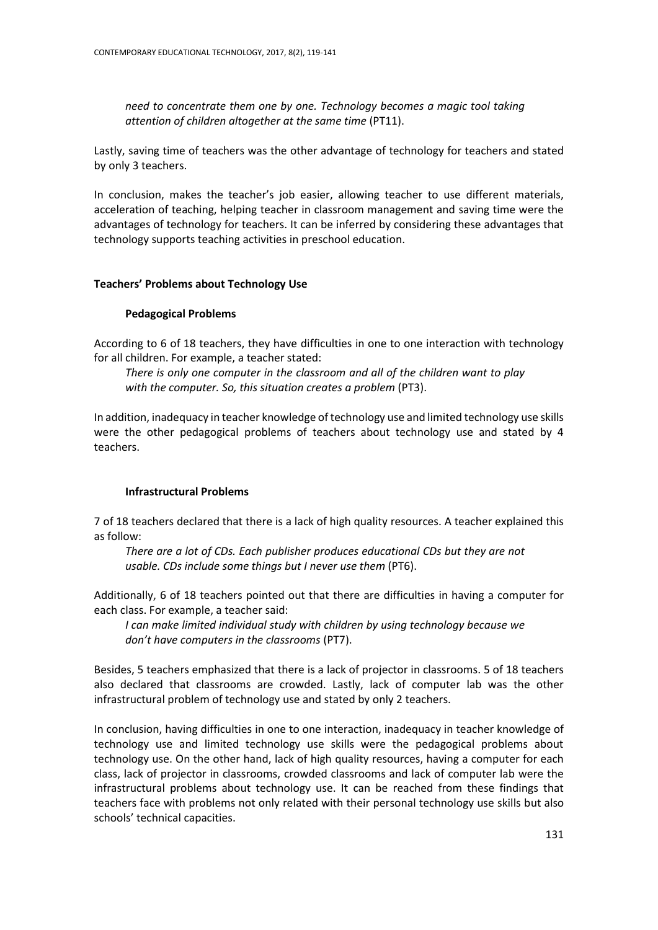*need to concentrate them one by one. Technology becomes a magic tool taking attention of children altogether at the same time* (PT11).

Lastly, saving time of teachers was the other advantage of technology for teachers and stated by only 3 teachers.

In conclusion, makes the teacher's job easier, allowing teacher to use different materials, acceleration of teaching, helping teacher in classroom management and saving time were the advantages of technology for teachers. It can be inferred by considering these advantages that technology supports teaching activities in preschool education.

#### **Teachers' Problems about Technology Use**

#### **Pedagogical Problems**

According to 6 of 18 teachers, they have difficulties in one to one interaction with technology for all children. For example, a teacher stated:

*There is only one computer in the classroom and all of the children want to play*  with the computer. So, this situation creates a problem (PT3).

In addition, inadequacy in teacher knowledge of technology use and limited technology use skills were the other pedagogical problems of teachers about technology use and stated by 4 teachers.

## **Infrastructural Problems**

7 of 18 teachers declared that there is a lack of high quality resources. A teacher explained this as follow:

*There are a lot of CDs. Each publisher produces educational CDs but they are not usable. CDs include some things but I never use them* (PT6).

Additionally, 6 of 18 teachers pointed out that there are difficulties in having a computer for each class. For example, a teacher said:

*I can make limited individual study with children by using technology because we don't have computers in the classrooms* (PT7).

Besides, 5 teachers emphasized that there is a lack of projector in classrooms. 5 of 18 teachers also declared that classrooms are crowded. Lastly, lack of computer lab was the other infrastructural problem of technology use and stated by only 2 teachers.

In conclusion, having difficulties in one to one interaction, inadequacy in teacher knowledge of technology use and limited technology use skills were the pedagogical problems about technology use. On the other hand, lack of high quality resources, having a computer for each class, lack of projector in classrooms, crowded classrooms and lack of computer lab were the infrastructural problems about technology use. It can be reached from these findings that teachers face with problems not only related with their personal technology use skills but also schools' technical capacities.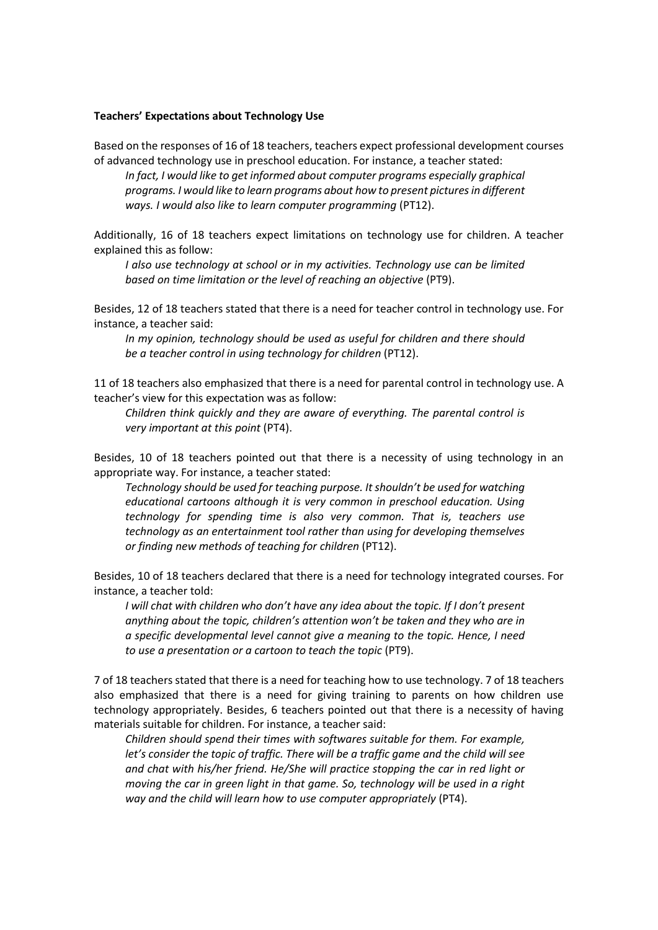#### **Teachers' Expectations about Technology Use**

Based on the responses of 16 of 18 teachers, teachers expect professional development courses of advanced technology use in preschool education. For instance, a teacher stated:

*In fact, I would like to get informed about computer programs especially graphical programs. I would like to learn programs about how to present pictures in different ways. I would also like to learn computer programming* (PT12).

Additionally, 16 of 18 teachers expect limitations on technology use for children. A teacher explained this as follow:

*I also use technology at school or in my activities. Technology use can be limited based on time limitation or the level of reaching an objective* (PT9).

Besides, 12 of 18 teachers stated that there is a need for teacher control in technology use. For instance, a teacher said:

*In my opinion, technology should be used as useful for children and there should be a teacher control in using technology for children* (PT12).

11 of 18 teachers also emphasized that there is a need for parental control in technology use. A teacher's view for this expectation was as follow:

*Children think quickly and they are aware of everything. The parental control is very important at this point* (PT4).

Besides, 10 of 18 teachers pointed out that there is a necessity of using technology in an appropriate way. For instance, a teacher stated:

*Technology should be used for teaching purpose. It shouldn't be used for watching educational cartoons although it is very common in preschool education. Using technology for spending time is also very common. That is, teachers use technology as an entertainment tool rather than using for developing themselves or finding new methods of teaching for children* (PT12).

Besides, 10 of 18 teachers declared that there is a need for technology integrated courses. For instance, a teacher told:

*I will chat with children who don't have any idea about the topic. If I don't present anything about the topic, children's attention won't be taken and they who are in a specific developmental level cannot give a meaning to the topic. Hence, I need to use a presentation or a cartoon to teach the topic* (PT9).

7 of 18 teachers stated that there is a need for teaching how to use technology. 7 of 18 teachers also emphasized that there is a need for giving training to parents on how children use technology appropriately. Besides, 6 teachers pointed out that there is a necessity of having materials suitable for children. For instance, a teacher said:

*Children should spend their times with softwares suitable for them. For example, let's consider the topic of traffic. There will be a traffic game and the child will see and chat with his/her friend. He/She will practice stopping the car in red light or moving the car in green light in that game. So, technology will be used in a right*  way and the child will learn how to use computer appropriately (PT4).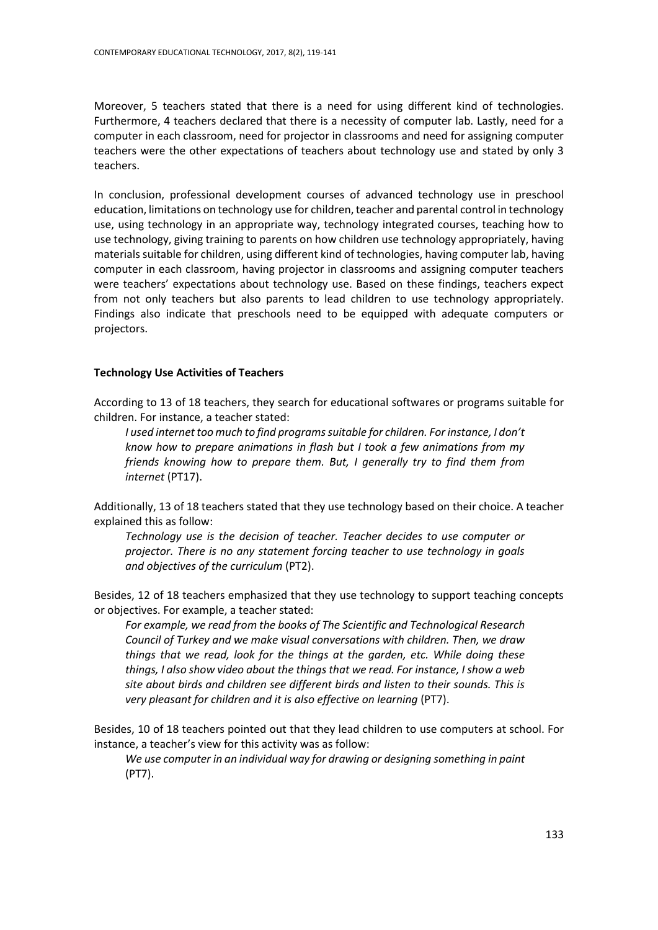Moreover, 5 teachers stated that there is a need for using different kind of technologies. Furthermore, 4 teachers declared that there is a necessity of computer lab. Lastly, need for a computer in each classroom, need for projector in classrooms and need for assigning computer teachers were the other expectations of teachers about technology use and stated by only 3 teachers.

In conclusion, professional development courses of advanced technology use in preschool education, limitations on technology use for children, teacher and parental control in technology use, using technology in an appropriate way, technology integrated courses, teaching how to use technology, giving training to parents on how children use technology appropriately, having materials suitable for children, using different kind of technologies, having computer lab, having computer in each classroom, having projector in classrooms and assigning computer teachers were teachers' expectations about technology use. Based on these findings, teachers expect from not only teachers but also parents to lead children to use technology appropriately. Findings also indicate that preschools need to be equipped with adequate computers or projectors.

#### **Technology Use Activities of Teachers**

According to 13 of 18 teachers, they search for educational softwares or programs suitable for children. For instance, a teacher stated:

*I used internet too much to find programs suitable for children. For instance, I don't know how to prepare animations in flash but I took a few animations from my friends knowing how to prepare them. But, I generally try to find them from internet* (PT17).

Additionally, 13 of 18 teachers stated that they use technology based on their choice. A teacher explained this as follow:

*Technology use is the decision of teacher. Teacher decides to use computer or projector. There is no any statement forcing teacher to use technology in goals and objectives of the curriculum* (PT2).

Besides, 12 of 18 teachers emphasized that they use technology to support teaching concepts or objectives. For example, a teacher stated:

*For example, we read from the books of The Scientific and Technological Research Council of Turkey and we make visual conversations with children. Then, we draw things that we read, look for the things at the garden, etc. While doing these things, I also show video about the things that we read. For instance, I show a web site about birds and children see different birds and listen to their sounds. This is very pleasant for children and it is also effective on learning (PT7).* 

Besides, 10 of 18 teachers pointed out that they lead children to use computers at school. For instance, a teacher's view for this activity was as follow:

*We use computer in an individual way for drawing or designing something in paint*  (PT7).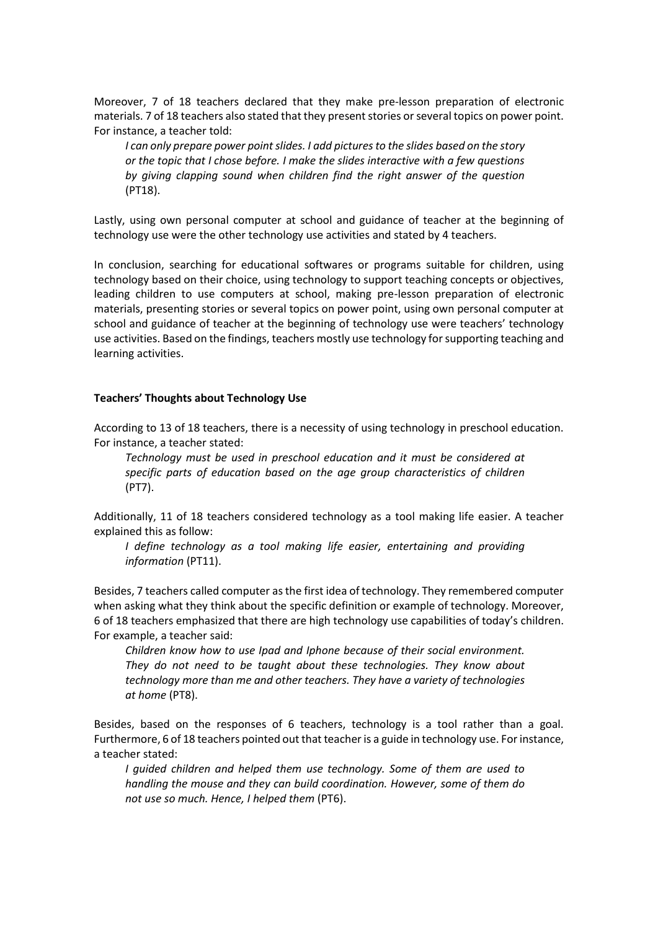Moreover, 7 of 18 teachers declared that they make pre-lesson preparation of electronic materials. 7 of 18 teachers also stated that they present stories or several topics on power point. For instance, a teacher told:

*I can only prepare power point slides. I add pictures to the slides based on the story or the topic that I chose before. I make the slides interactive with a few questions by giving clapping sound when children find the right answer of the question*  (PT18).

Lastly, using own personal computer at school and guidance of teacher at the beginning of technology use were the other technology use activities and stated by 4 teachers.

In conclusion, searching for educational softwares or programs suitable for children, using technology based on their choice, using technology to support teaching concepts or objectives, leading children to use computers at school, making pre-lesson preparation of electronic materials, presenting stories or several topics on power point, using own personal computer at school and guidance of teacher at the beginning of technology use were teachers' technology use activities. Based on the findings, teachers mostly use technology for supporting teaching and learning activities.

#### **Teachers' Thoughts about Technology Use**

According to 13 of 18 teachers, there is a necessity of using technology in preschool education. For instance, a teacher stated:

*Technology must be used in preschool education and it must be considered at specific parts of education based on the age group characteristics of children*  (PT7).

Additionally, 11 of 18 teachers considered technology as a tool making life easier. A teacher explained this as follow:

*I define technology as a tool making life easier, entertaining and providing information* (PT11).

Besides, 7 teachers called computer as the first idea of technology. They remembered computer when asking what they think about the specific definition or example of technology. Moreover, 6 of 18 teachers emphasized that there are high technology use capabilities of today's children. For example, a teacher said:

*Children know how to use Ipad and Iphone because of their social environment. They do not need to be taught about these technologies. They know about technology more than me and other teachers. They have a variety of technologies at home* (PT8).

Besides, based on the responses of 6 teachers, technology is a tool rather than a goal. Furthermore, 6 of 18 teachers pointed out that teacher is a guide in technology use. For instance, a teacher stated:

*I guided children and helped them use technology. Some of them are used to handling the mouse and they can build coordination. However, some of them do not use so much. Hence, I helped them* (PT6).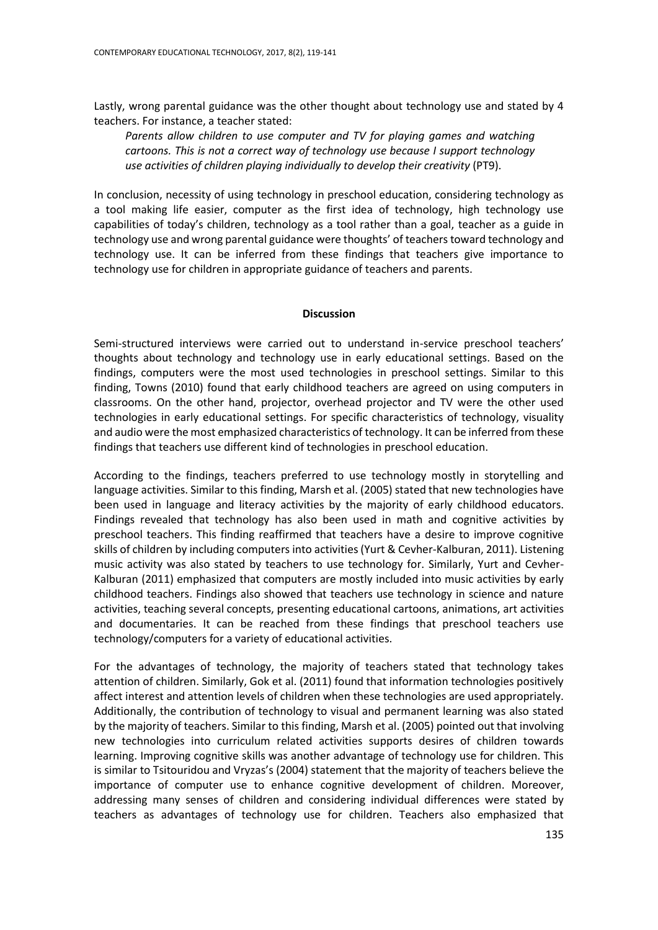Lastly, wrong parental guidance was the other thought about technology use and stated by 4 teachers. For instance, a teacher stated:

*Parents allow children to use computer and TV for playing games and watching cartoons. This is not a correct way of technology use because I support technology use activities of children playing individually to develop their creativity (PT9).* 

In conclusion, necessity of using technology in preschool education, considering technology as a tool making life easier, computer as the first idea of technology, high technology use capabilities of today's children, technology as a tool rather than a goal, teacher as a guide in technology use and wrong parental guidance were thoughts' of teachers toward technology and technology use. It can be inferred from these findings that teachers give importance to technology use for children in appropriate guidance of teachers and parents.

#### **Discussion**

Semi-structured interviews were carried out to understand in-service preschool teachers' thoughts about technology and technology use in early educational settings. Based on the findings, computers were the most used technologies in preschool settings. Similar to this finding, Towns (2010) found that early childhood teachers are agreed on using computers in classrooms. On the other hand, projector, overhead projector and TV were the other used technologies in early educational settings. For specific characteristics of technology, visuality and audio were the most emphasized characteristics of technology. It can be inferred from these findings that teachers use different kind of technologies in preschool education.

According to the findings, teachers preferred to use technology mostly in storytelling and language activities. Similar to this finding, Marsh et al. (2005) stated that new technologies have been used in language and literacy activities by the majority of early childhood educators. Findings revealed that technology has also been used in math and cognitive activities by preschool teachers. This finding reaffirmed that teachers have a desire to improve cognitive skills of children by including computers into activities (Yurt & Cevher-Kalburan, 2011). Listening music activity was also stated by teachers to use technology for. Similarly, Yurt and Cevher-Kalburan (2011) emphasized that computers are mostly included into music activities by early childhood teachers. Findings also showed that teachers use technology in science and nature activities, teaching several concepts, presenting educational cartoons, animations, art activities and documentaries. It can be reached from these findings that preschool teachers use technology/computers for a variety of educational activities.

For the advantages of technology, the majority of teachers stated that technology takes attention of children. Similarly, Gok et al. (2011) found that information technologies positively affect interest and attention levels of children when these technologies are used appropriately. Additionally, the contribution of technology to visual and permanent learning was also stated by the majority of teachers. Similar to this finding, Marsh et al. (2005) pointed out that involving new technologies into curriculum related activities supports desires of children towards learning. Improving cognitive skills was another advantage of technology use for children. This is similar to Tsitouridou and Vryzas's (2004) statement that the majority of teachers believe the importance of computer use to enhance cognitive development of children. Moreover, addressing many senses of children and considering individual differences were stated by teachers as advantages of technology use for children. Teachers also emphasized that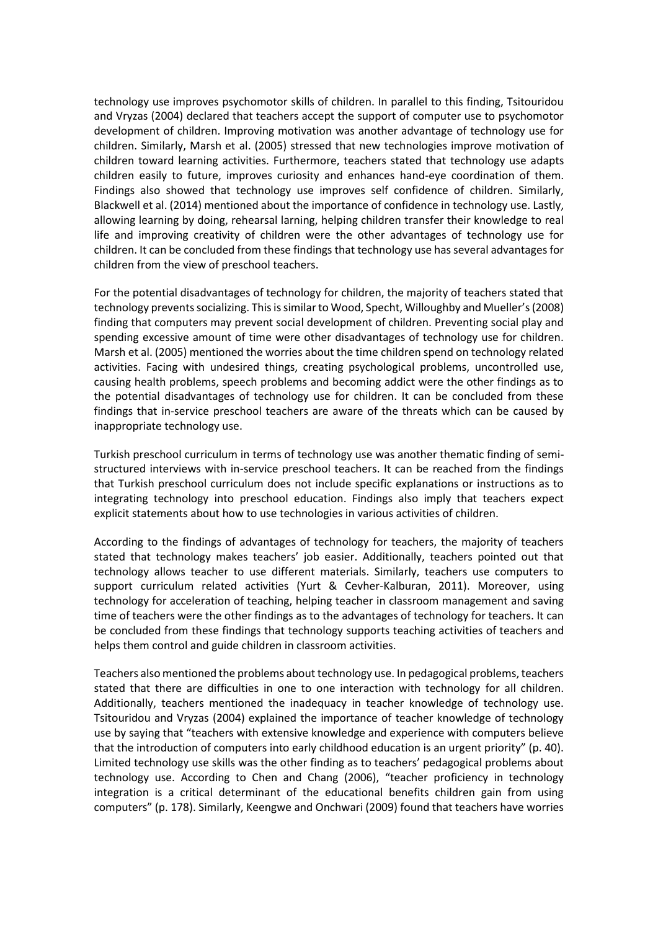technology use improves psychomotor skills of children. In parallel to this finding, Tsitouridou and Vryzas (2004) declared that teachers accept the support of computer use to psychomotor development of children. Improving motivation was another advantage of technology use for children. Similarly, Marsh et al. (2005) stressed that new technologies improve motivation of children toward learning activities. Furthermore, teachers stated that technology use adapts children easily to future, improves curiosity and enhances hand-eye coordination of them. Findings also showed that technology use improves self confidence of children. Similarly, Blackwell et al. (2014) mentioned about the importance of confidence in technology use. Lastly, allowing learning by doing, rehearsal larning, helping children transfer their knowledge to real life and improving creativity of children were the other advantages of technology use for children. It can be concluded from these findings that technology use has several advantages for children from the view of preschool teachers.

For the potential disadvantages of technology for children, the majority of teachers stated that technology prevents socializing. This is similar to Wood, Specht, Willoughby and Mueller's (2008) finding that computers may prevent social development of children. Preventing social play and spending excessive amount of time were other disadvantages of technology use for children. Marsh et al. (2005) mentioned the worries about the time children spend on technology related activities. Facing with undesired things, creating psychological problems, uncontrolled use, causing health problems, speech problems and becoming addict were the other findings as to the potential disadvantages of technology use for children. It can be concluded from these findings that in-service preschool teachers are aware of the threats which can be caused by inappropriate technology use.

Turkish preschool curriculum in terms of technology use was another thematic finding of semistructured interviews with in-service preschool teachers. It can be reached from the findings that Turkish preschool curriculum does not include specific explanations or instructions as to integrating technology into preschool education. Findings also imply that teachers expect explicit statements about how to use technologies in various activities of children.

According to the findings of advantages of technology for teachers, the majority of teachers stated that technology makes teachers' job easier. Additionally, teachers pointed out that technology allows teacher to use different materials. Similarly, teachers use computers to support curriculum related activities (Yurt & Cevher-Kalburan, 2011). Moreover, using technology for acceleration of teaching, helping teacher in classroom management and saving time of teachers were the other findings as to the advantages of technology for teachers. It can be concluded from these findings that technology supports teaching activities of teachers and helps them control and guide children in classroom activities.

Teachers also mentioned the problems about technology use. In pedagogical problems, teachers stated that there are difficulties in one to one interaction with technology for all children. Additionally, teachers mentioned the inadequacy in teacher knowledge of technology use. Tsitouridou and Vryzas (2004) explained the importance of teacher knowledge of technology use by saying that "teachers with extensive knowledge and experience with computers believe that the introduction of computers into early childhood education is an urgent priority" (p. 40). Limited technology use skills was the other finding as to teachers' pedagogical problems about technology use. According to Chen and Chang (2006), "teacher proficiency in technology integration is a critical determinant of the educational benefits children gain from using computers" (p. 178). Similarly, Keengwe and Onchwari (2009) found that teachers have worries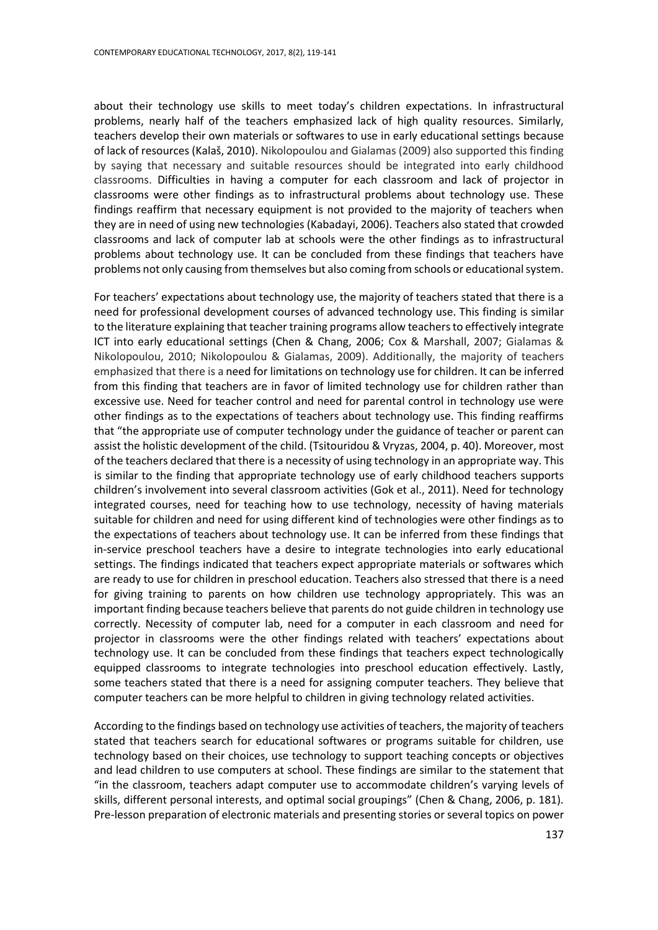about their technology use skills to meet today's children expectations. In infrastructural problems, nearly half of the teachers emphasized lack of high quality resources. Similarly, teachers develop their own materials or softwares to use in early educational settings because of lack of resources (Kalaš, 2010). Nikolopoulou and Gialamas (2009) also supported this finding by saying that necessary and suitable resources should be integrated into early childhood classrooms. Difficulties in having a computer for each classroom and lack of projector in classrooms were other findings as to infrastructural problems about technology use. These findings reaffirm that necessary equipment is not provided to the majority of teachers when they are in need of using new technologies (Kabadayi, 2006). Teachers also stated that crowded classrooms and lack of computer lab at schools were the other findings as to infrastructural problems about technology use. It can be concluded from these findings that teachers have problems not only causing from themselves but also coming from schools or educational system.

For teachers' expectations about technology use, the majority of teachers stated that there is a need for professional development courses of advanced technology use. This finding is similar to the literature explaining that teacher training programs allow teachers to effectively integrate ICT into early educational settings (Chen & Chang, 2006; Cox & Marshall, 2007; Gialamas & Nikolopoulou, 2010; Nikolopoulou & Gialamas, 2009). Additionally, the majority of teachers emphasized that there is a need for limitations on technology use for children. It can be inferred from this finding that teachers are in favor of limited technology use for children rather than excessive use. Need for teacher control and need for parental control in technology use were other findings as to the expectations of teachers about technology use. This finding reaffirms that "the appropriate use of computer technology under the guidance of teacher or parent can assist the holistic development of the child. (Tsitouridou & Vryzas, 2004, p. 40). Moreover, most of the teachers declared that there is a necessity of using technology in an appropriate way. This is similar to the finding that appropriate technology use of early childhood teachers supports children's involvement into several classroom activities (Gok et al., 2011). Need for technology integrated courses, need for teaching how to use technology, necessity of having materials suitable for children and need for using different kind of technologies were other findings as to the expectations of teachers about technology use. It can be inferred from these findings that in-service preschool teachers have a desire to integrate technologies into early educational settings. The findings indicated that teachers expect appropriate materials or softwares which are ready to use for children in preschool education. Teachers also stressed that there is a need for giving training to parents on how children use technology appropriately. This was an important finding because teachers believe that parents do not guide children in technology use correctly. Necessity of computer lab, need for a computer in each classroom and need for projector in classrooms were the other findings related with teachers' expectations about technology use. It can be concluded from these findings that teachers expect technologically equipped classrooms to integrate technologies into preschool education effectively. Lastly, some teachers stated that there is a need for assigning computer teachers. They believe that computer teachers can be more helpful to children in giving technology related activities.

According to the findings based on technology use activities of teachers, the majority of teachers stated that teachers search for educational softwares or programs suitable for children, use technology based on their choices, use technology to support teaching concepts or objectives and lead children to use computers at school. These findings are similar to the statement that "in the classroom, teachers adapt computer use to accommodate children's varying levels of skills, different personal interests, and optimal social groupings" (Chen & Chang, 2006, p. 181). Pre-lesson preparation of electronic materials and presenting stories or several topics on power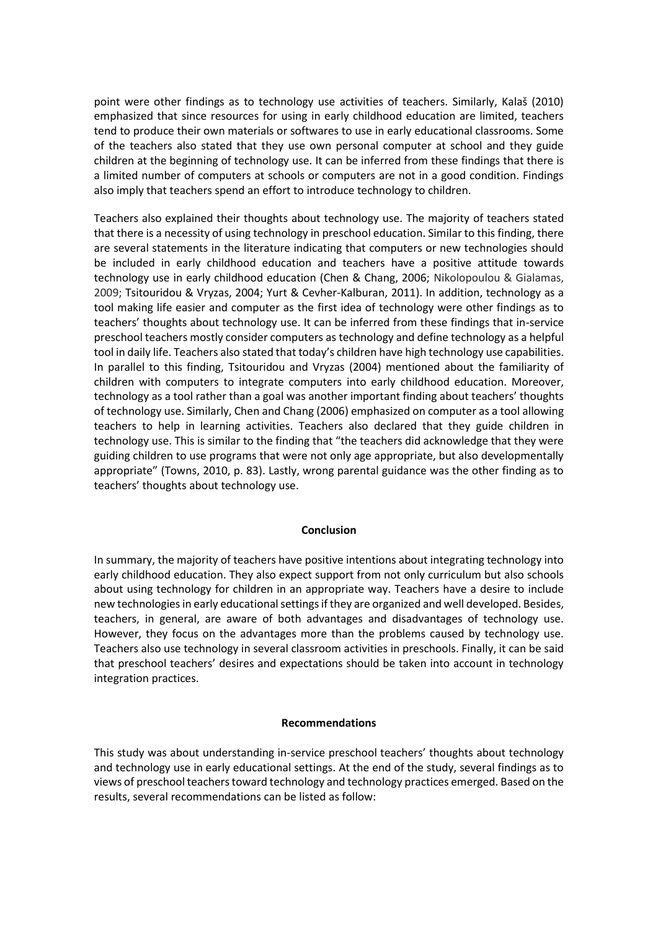point were other findings as to technology use activities of teachers. Similarly, Kalaš (2010) emphasized that since resources for using in early childhood education are limited, teachers tend to produce their own materials or softwares to use in early educational classrooms. Some of the teachers also stated that they use own personal computer at school and they guide children at the beginning of technology use. It can be inferred from these findings that there is a limited number of computers at schools or computers are not in a good condition. Findings also imply that teachers spend an effort to introduce technology to children.

Teachers also explained their thoughts about technology use. The majority of teachers stated that there is a necessity of using technology in preschool education. Similar to this finding, there are several statements in the literature indicating that computers or new technologies should be included in early childhood education and teachers have a positive attitude towards technology use in early childhood education (Chen & Chang, 2006; Nikolopoulou & Gialamas, 2009; Tsitouridou & Vryzas, 2004; Yurt & Cevher-Kalburan, 2011). In addition, technology as a tool making life easier and computer as the first idea of technology were other findings as to teachers' thoughts about technology use. It can be inferred from these findings that in-service preschool teachers mostly consider computers as technology and define technology as a helpful tool in daily life. Teachers also stated that today's children have high technology use capabilities. In parallel to this finding, Tsitouridou and Vryzas (2004) mentioned about the familiarity of children with computers to integrate computers into early childhood education. Moreover, technology as a tool rather than a goal was another important finding about teachers' thoughts of technology use. Similarly, Chen and Chang (2006) emphasized on computer as a tool allowing teachers to help in learning activities. Teachers also declared that they guide children in technology use. This is similar to the finding that "the teachers did acknowledge that they were guiding children to use programs that were not only age appropriate, but also developmentally appropriate" (Towns, 2010, p. 83). Lastly, wrong parental guidance was the other finding as to teachers' thoughts about technology use.

#### **Conclusion**

In summary, the majority of teachers have positive intentions about integrating technology into early childhood education. They also expect support from not only curriculum but also schools about using technology for children in an appropriate way. Teachers have a desire to include new technologies in early educational settings if they are organized and well developed. Besides, teachers, in general, are aware of both advantages and disadvantages of technology use. However, they focus on the advantages more than the problems caused by technology use. Teachers also use technology in several classroom activities in preschools. Finally, it can be said that preschool teachers' desires and expectations should be taken into account in technology integration practices.

## **Recommendations**

This study was about understanding in-service preschool teachers' thoughts about technology and technology use in early educational settings. At the end of the study, several findings as to views of preschool teachers toward technology and technology practices emerged. Based on the results, several recommendations can be listed as follow: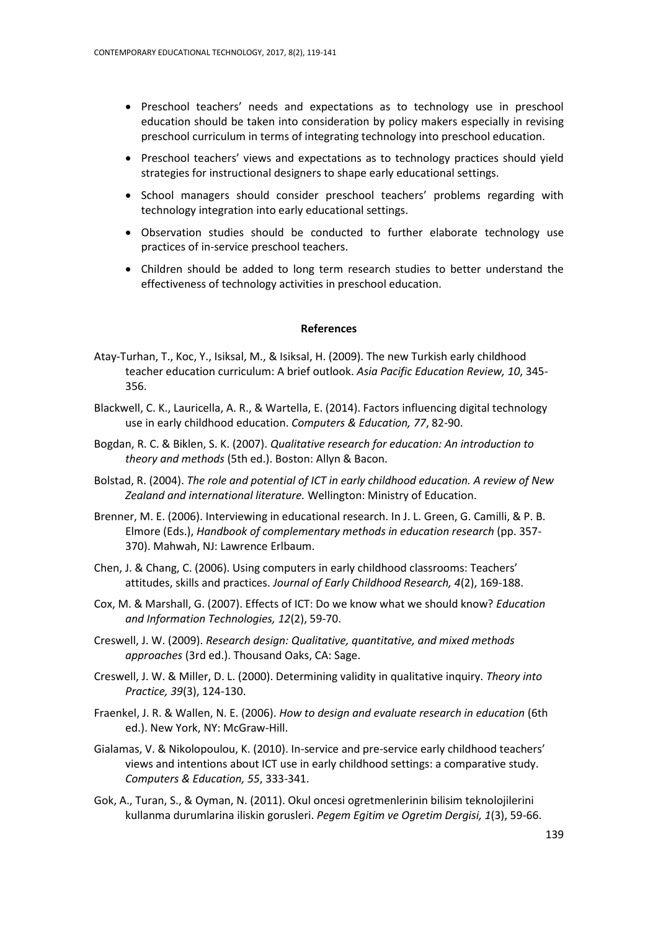- Preschool teachers' needs and expectations as to technology use in preschool education should be taken into consideration by policy makers especially in revising preschool curriculum in terms of integrating technology into preschool education.
- Preschool teachers' views and expectations as to technology practices should yield strategies for instructional designers to shape early educational settings.
- School managers should consider preschool teachers' problems regarding with technology integration into early educational settings.
- Observation studies should be conducted to further elaborate technology use practices of in-service preschool teachers.
- Children should be added to long term research studies to better understand the effectiveness of technology activities in preschool education.

#### **References**

- Atay-Turhan, T., Koc, Y., Isiksal, M., & Isiksal, H. (2009). The new Turkish early childhood teacher education curriculum: A brief outlook. *Asia Pacific Education Review, 10*, 345- 356.
- Blackwell, C. K., Lauricella, A. R., & Wartella, E. (2014). Factors influencing digital technology use in early childhood education. *Computers & Education, 77*, 82-90.
- Bogdan, R. C. & Biklen, S. K. (2007). *Qualitative research for education: An introduction to theory and methods* (5th ed.). Boston: Allyn & Bacon.
- Bolstad, R. (2004). *The role and potential of ICT in early childhood education. A review of New Zealand and international literature.* Wellington: Ministry of Education.
- Brenner, M. E. (2006). Interviewing in educational research. In J. L. Green, G. Camilli, & P. B. Elmore (Eds.), *Handbook of complementary methods in education research* (pp. 357- 370). Mahwah, NJ: Lawrence Erlbaum.
- Chen, J. & Chang, C. (2006). Using computers in early childhood classrooms: Teachers' attitudes, skills and practices. *Journal of Early Childhood Research, 4*(2), 169-188.
- Cox, M. & Marshall, G. (2007). Effects of ICT: Do we know what we should know? *Education and Information Technologies, 12*(2), 59-70.
- Creswell, J. W. (2009). *Research design: Qualitative, quantitative, and mixed methods approaches* (3rd ed.). Thousand Oaks, CA: Sage.
- Creswell, J. W. & Miller, D. L. (2000). Determining validity in qualitative inquiry. *Theory into Practice, 39*(3), 124-130.
- Fraenkel, J. R. & Wallen, N. E. (2006). *How to design and evaluate research in education* (6th ed.). New York, NY: McGraw-Hill.
- Gialamas, V. & Nikolopoulou, K. (2010). In-service and pre-service early childhood teachers' views and intentions about ICT use in early childhood settings: a comparative study. *Computers & Education, 55*, 333-341.
- Gok, A., Turan, S., & Oyman, N. (2011). Okul oncesi ogretmenlerinin bilisim teknolojilerini kullanma durumlarina iliskin gorusleri. *Pegem Egitim ve Ogretim Dergisi, 1*(3), 59-66.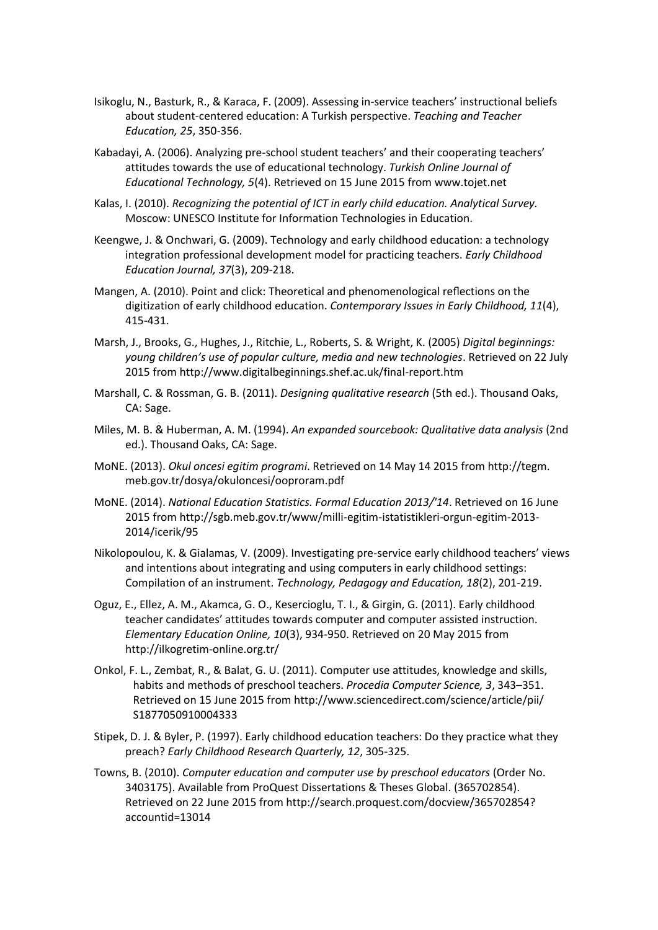- Isikoglu, N., Basturk, R., & Karaca, F. (2009). Assessing in-service teachers' instructional beliefs about student-centered education: A Turkish perspective. *Teaching and Teacher Education, 25*, 350-356.
- Kabadayi, A. (2006). Analyzing pre-school student teachers' and their cooperating teachers' attitudes towards the use of educational technology. *Turkish Online Journal of Educational Technology, 5*(4). Retrieved on 15 June 2015 from [www.tojet.net](http://www.tojet.net/)
- Kalas, I. (2010). *Recognizing the potential of ICT in early child education. Analytical Survey.* Moscow: UNESCO Institute for Information Technologies in Education.
- Keengwe, J. & Onchwari, G. (2009). Technology and early childhood education: a technology integration professional development model for practicing teachers. *Early Childhood Education Journal, 37*(3), 209-218.
- Mangen, A. (2010). Point and click: Theoretical and phenomenological reflections on the digitization of early childhood education. *Contemporary Issues in Early Childhood, 11*(4), 415-431.
- Marsh, J., Brooks, G., Hughes, J., Ritchie, L., Roberts, S. & Wright, K. (2005) *Digital beginnings: young children's use of popular culture, media and new technologies*. Retrieved on 22 July 2015 from http://www.digitalbeginnings.shef.ac.uk/final-report.htm
- Marshall, C. & Rossman, G. B. (2011). *Designing qualitative research* (5th ed.). Thousand Oaks, CA: Sage.
- Miles, M. B. & Huberman, A. M. (1994). *An expanded sourcebook: Qualitative data analysis* (2nd ed.). Thousand Oaks, CA: Sage.
- MoNE. (2013). *Okul oncesi egitim programi*. Retrieved on 14 May 14 2015 from http://tegm. meb.gov.tr/dosya/okuloncesi/ooproram.pdf
- MoNE. (2014). *National Education Statistics. Formal Education 2013/'14*. Retrieved on 16 June 2015 from http://sgb.meb.gov.tr/www/milli-egitim-istatistikleri-orgun-egitim-2013- 2014/icerik/95
- Nikolopoulou, K. & Gialamas, V. (2009). Investigating pre-service early childhood teachers' views and intentions about integrating and using computers in early childhood settings: Compilation of an instrument. *Technology, Pedagogy and Education, 18*(2), 201-219.
- Oguz, E., Ellez, A. M., Akamca, G. O., Kesercioglu, T. I., & Girgin, G. (2011). Early childhood teacher candidates' attitudes towards computer and computer assisted instruction. *Elementary Education Online, 10*(3), 934-950. Retrieved on 20 May 2015 from http://ilkogretim-online.org.tr/
- Onkol, F. L., Zembat, R., & Balat, G. U. (2011). Computer use attitudes, knowledge and skills, habits and methods of preschool teachers. *Procedia Computer Science, 3*, 343–351. Retrieved on 15 June 2015 from<http://www.sciencedirect.com/science/article/pii/> S1877050910004333
- Stipek, D. J. & Byler, P. (1997). Early childhood education teachers: Do they practice what they preach? *Early Childhood Research Quarterly, 12*, 305-325.
- Towns, B. (2010). *Computer education and computer use by preschool educators* (Order No. 3403175). Available from ProQuest Dissertations & Theses Global. (365702854). Retrieved on 22 June 2015 from [http://search.proquest.com/docview/365702854?](http://search.proquest.com/docview/365702854?%20accountid=13014)  [accountid=13014](http://search.proquest.com/docview/365702854?%20accountid=13014)